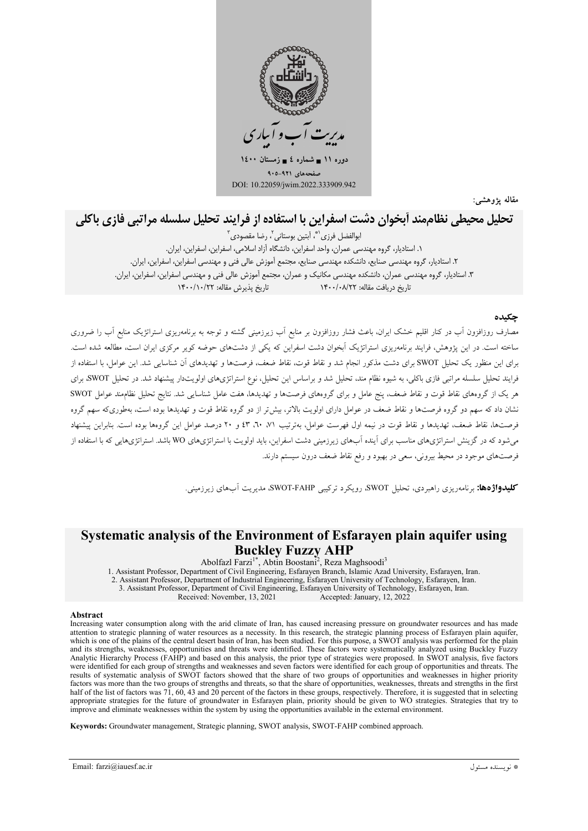

مقاله پژوهشی:

# تحليل محيطي نظاممند أيخوان دشت اسفراين يا استفاده از فرايند تحليل سلسله مراتبي فازى باكلى

ابوالفضل فرزي<sup>(\*</sup>، آيتين بوستاني<sup>7</sup> رضا مقصودي<sup>۳</sup> ١. استاديار، گروه مهندسي عمران، واحد اسفراين، دانشگاه آزاد اسلامي، اسفراين، اسفراين، ايران. ٢. استاديار، گروه مهندسي صنايع، دانشكده مهندسي صنايع، مجتمع آموزش عالي فني و مهندسي اسفراين، اسفراين، ايران. ۳. استادیار، گروه مهندسی عمران، دانشکده مهندسی مکانیک و عمران، مجتمع آموزش عالی فنی و مهندسی اسفراین، اسفراین، ایران. تاريخ يذيرش مقاله: ١۴٠٠/١٠/٢٢ تاریخ در بافت مقاله: ۱۴۰۰/۰۸/۲۲

### حكىدە

مصارف روزافزون اّب در کنار اقلیم خشک ایران، باعث فشار روزافزون بر منابع اّب زیرزمینی گشته و توجه به برنامهریزی استراتژیک منابع اّب را ضروری ساخته است. در این یژوهش، فرایند برنامهریزی استراتژیک آبخوان دشت اسفراین که یکی از دشتهای حوضه کویر مرکزی ایران است، مطالعه شده است. برای این منظور یک تحلیل SWOT برای دشت مذکور انجام شد و نقاط قوت، نقاط ضعف، فرصتها و تهدیدهای آن شناسای<sub>،</sub> شد. این عوامل ا استفاده از فرایند تحلیل سلسله مراتبی فازی باکلی، به شیوه نظام مند، تحلیل شد و براساس این تحلیل، نوع استراتژیهای اولویتدار پیشنهاد شد. در تحلیل SWOT برای هر یک از گروههای نقاط قوت و نقاط ضعف، پنج عامل و برای گروههای فرصتها و تهدیدها، هفت عامل شناسایی شد. نتایج تحلیل نظامهند عوامل SWOT نشان داد که سهم دو گروه فرصتها و نقاط ضعف در عوامل دارای اولویت بالاتر، بیش تر از دو گروه نقاط قوت و تهدیدها بوده است، بهطوریکه سهم گروه فرصتها، نقاط ضعف، تهديدها و نقاط قوت در نيمه اول فهرست عوامل، بهترتيب ٧١، ٢٠، ٤٣ و ٢٠ درصد عوامل اين گروهعا بوده است. بنابراين ييشنهاد میشود که در گزینش استراتژیهای مناسب برای آینده آبهای زیرزمینی دشت اسفراین، باید اولویت با استراتژیهای WO باشد. استراتژیهایی که با استفاده از فرصتهای موجود در محیط بیرونی، سعی در بهبود و رفع نقاط ضعف درون سیستم دارند.

**کلیدواژهها:** برنامهریزی راهبردی، تحلیل SWOT، رویکرد ترکیبی SWOT-FAHP، مدیریت آبهای زیرزمینی.

### Systematic analysis of the Environment of Esfarayen plain aquifer using **Buckley Fuzzy AHP**

Abolfazl Farzi<sup>1\*</sup>, Abtin Boostani<sup>2</sup>, Reza Maghsoodi<sup>3</sup>

1. Assistant Professor, Department of Civil Engineering, Esfarayen Branch, Islamic Azad University, Esfarayen, Iran. 1. Islamin Trockson, Department of Industrial Engineering, Esfarayen University of Technology, Esfarayen, Iran<br>2. Assistant Professor, Department of Industrial Engineering, Esfarayen University of Technology, Esfarayen, Ir 3. Assistant Professor, Department of Civil Engineering, Esfarayen University of Technology, Esfarayen, Iran.

Received: November, 13, 2021 Accepted: January, 12, 2022

#### Abstract

Increasing water consumption along with the arid climate of Iran, has caused increasing pressure on groundwater resources and has made attention to strategic planning of water resources as a necessity. In this research, the strategic planning process of Esfarayen plain aquifer, which is one of the plains of the central desert basin of Iran, has been studied. For this purpose, a SWOT analysis was performed for the plain and its strengths, weaknesses, opportunities and threats were identified. These factors were systematically analyzed using Buckley Fuzzy Analytic Hierarchy Process (FAHP) and based on this analysis, the prior type of strategies were proposed. In SWOT analysis, five factors were identified for each group of strengths and weaknesses and seven factors were identified for each group of opportunities and threats. The results of systematic analysis of SWOT factors showed that the share of two groups of opportunities and weaknesses in higher priority factors was more than the two groups of strengths and threats, so that the share of opportunities, weaknesses, threats and strengths in the first half of the list of factors was 71, 60, 43 and 20 percent of the factors in these groups, respectively. Therefore, it is suggested that in selecting appropriate strategies for the future of groundwater in Esfarayen plain, priority should be given to WO strategies. Strategies that try to improve and eliminate weaknesses within the system by using the opportunities available in the external environment.

Keywords: Groundwater management, Strategic planning, SWOT analysis, SWOT-FAHP combined approach.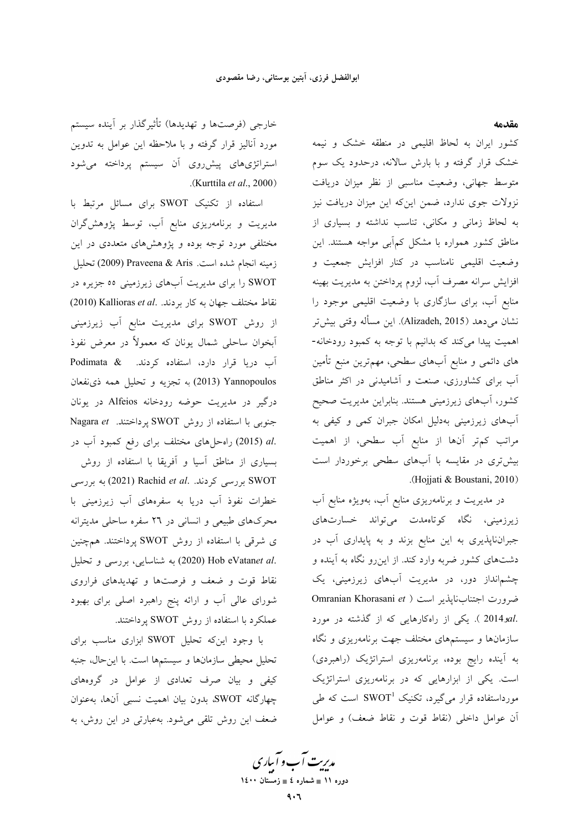مقدمه

کشور ایران به لحاظ اقلیمی در منطقه خشک و نیمه خشک قرار گرفته و با بارش سالانه، درحدود یک سوم متوسط جهانی، وضعیت مناسبی از نظر میزان دریافت نزولات جوی ندارد، ضمن این که این میزان دریافت نیز به لحاظ زمانی و مکانی، تناسب نداشته و بسیاری از مناطق کشور همواره با مشکل کمٖآبی مواجه هستند. این وضعیت اقلیمی نامناسب در کنار افزایش جمعیت و افزایش سرانه مصرف آب، لزوم پرداختن به مدیریت بهینه منابع آب، برای سازگاری با وضعیت اقلیمی موجود را نشان میدهد (Alizadeh, 2015). این مسأله وقتی بیش تر اهمیت پیدا میکند که بدانیم با توجه به کمبود رودخانه-های دائمی و منابع آبهای سطحی، مهمترین منبع تأمین آب برای کشاورزی، صنعت و آشامیدنی در اکثر مناطق کشور، آبهای زیرزمینی هستند. بنابراین مدیریت صحیح آبهای زیرزمینی بهدلیل امکان جبران کمی و کیفی به مراتب کم تر آنها از منابع آب سطحی، از اهمیت بیشتری در مقایسه با آبهای سطحی برخوردار است .(Hojjati & Boustani, 2010)

در مدیریت و برنامهریزی منابع آب، بهویژه منابع آب زیرزمینی، نگاه کوتاهمدت میتواند خسارتهای جبرانناپذیری به این منابع بزند و به پایداری آب در دشتهای کشور ضربه وارد کند. از این٫و نگاه به آینده و چشمانداز دور، در مدیریت آبهای زیرزمینی، یک Omranian Khorasani et ) ضرورت اجتنابناپذیر است .2014 x1 ). یکی از راهکارهایی که از گذشته در مورد سازمانها و سیستمهای مختلف جهت برنامهریزی و نگاه به آینده رایج بوده، برنامهریزی استراتژیک (راهبردی) است. یکی از ابزارهایی که در برنامهریزی استراتژیک مورداستفاده قرار میگیرد، تکنیک  $\mathrm{SWOT}^1$  است که طی أن عوامل داخلي (نقاط قوت و نقاط ضعف) و عوامل

خارجي (فرصتها و تهديدها) تأثيرگذار بر آينده سيستم مورد آنالیز قرار گرفته و با ملاحظه این عوامل به تدوین استراتژیهای پیشرروی آن سیستم پرداخته می شود .(Kurttila et al.,  $2000$ )

استفاده از تکنیک SWOT برای مسائل مرتبط با مدیریت و برنامهریزی منابع آب، توسط پژوهشگران مختلفی مورد توجه بوده و پژوهشهای متعددی در این زمينه انجام شده است. Praveena & Aris (2009) تحليل SWOT را برای مدیریت آبهای زیرزمینی ٥٥ جزیره در نقاط مختلف جهان به كار بردند. . Kallioras et al (2010) از روش SWOT برای مدیریت منابع آب زیرزمینی آبخوان ساحلي شمال يونان كه معمولاً در معرض نفوذ آب دریا قرار دارد، استفاده کردند. Podimata & Yannopoulos (2013) به تجزیه و تحلیل همه ذی نفعان درگیر در مدیریت حوضه رودخانه Alfeios در یونان Nagara et پرداختند. SWOT بحنوبی با استفاده از روش SWOT .al (2015) راه حل های مختلف برای رفع کمبود آب در بسیاری از مناطق آسیا و آفریقا با استفاده از روش به بررسی کردند. Rachid et al. به بررسی خطرات نفوذ آب دریا به سفرههای آب زیرزمینی با محرکهای طبیعی و انسانی در ۲٦ سفره ساحلی مدیترانه ى شرقى با استفاده از روش SWOT پرداختند. همچنين .Hob eVatanet al (2020) به شناسایی، بررسی و تحلیل نقاط قوت و ضعف و فرصتها و تهدیدهای فراروی شورای عالی آب و ارائه پنج راهبرد اصلی برای بهبود عملکرد با استفاده از روش SWOT پرداختند.

با وجود اینکه تحلیل SWOT ابزاری مناسب برای تحلیل محیطی سازمانها و سیستمها است. با اینحال، جنبه کیفی و بیان صرف تعدادی از عوامل در گروههای چهارگانه SWOT، بدون بیان اهمیت نسبی آنها، بهعنوان ضعف این روش تلقی می شود. بهعبارتی در این روش، به

مدیریت آب و آباری دوره ۱۱ ∎ شماره ٤ ∎ زمستان ۱٤۰۰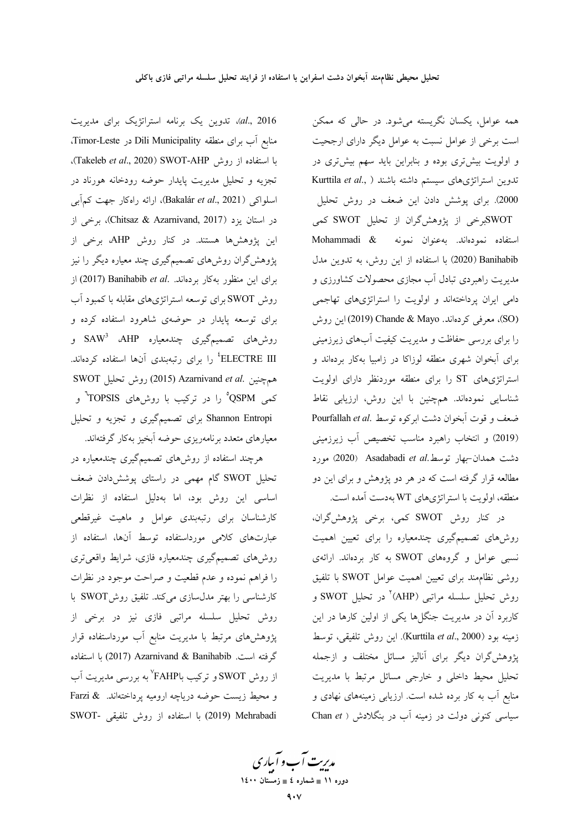al., 2016)، تدوین یک برنامه استراتژیک برای مدیریت منابع آب برای منطقه Dili Municipality در Timor-Leste. با استفاده از روش SWOT-AHP (Takeleb *et al.*, 2020). تجزیه و تحلیل مدیریت پایدار حوضه رودخانه هورناد در اسلواکی (Bakalár et al., 2021)، ارائه راهکار جهت کمآبی در استان یزد (Chitsaz & Azarnivand, 2017)، برخی از این پژوهشها هستند. در کنار روش AHP، برخی از پژوهشگران روشهای تصمیمگیری چند معیاره دیگر را نیز برای این منظور به کار بردهاند. .Banihabib et al (2017) از روش SWOT برای توسعه استراتژیهای مقابله با کمبود آب برای توسعه پایدار در حوضهی شاهرود استفاده کرده و روش های تصمیمگیری چندمعیاره SAW<sup>3</sup> ،AHP و ELECTRE III<sup>،</sup> را برای رتبهبندی آنها استفاده کردهاند. SWOT روش تحليل 2015) Azarnivand et al. کمی QSPM° را در ترکیب با روشهای TOPSIS<sup>۰</sup> و Shannon Entropi برای تصمیمگیری و تجزیه و تحلیل معیارهای متعدد برنامەریزی حوضه آبخیز بهکار گرفتهاند.

هرچند استفاده از روشهای تصمیمگیری چندمعیاره در تحلیل SWOT گام مهمی در راستای پوشش دادن ضعف اساسی این روش بود، اما بهدلیل استفاده از نظرات کارشناسان برای رتبهبندی عوامل و ماهیت غیرقطعی عبارتهای کلامی مورداستفاده توسط آنها، استفاده از روشهای تصمیمگیری چندمعیاره فازی، شرایط واقعیتری را فراهم نموده و عدم قطعیت و صراحت موجود در نظرات کارشناسی را بهتر مدلسازی میکند. تلفیق روشSWOT با روش تحلیل سلسله مراتبی فازی نیز در برخی از پژوهشهای مرتبط با مدیریت منابع آب مورداستفاده قرار گرفته است. Azarnivand & Banihabib ابا استفاده از روش SWOT و ترکیب باFAHP' به بررسی مدیریت آب و محيط زيست حوضه درياچه اروميه پرداختهاند. & Farzi SWOT- با استفاده از روش تلفيقی -SWOT

همه عوامل، یکسان نگریسته میشود. در حالی که ممکن است برخی از عوامل نسبت به عوامل دیگر دارای ارجحیت و اولویت بیش تری بوده و بنابراین باید سهم بیش تری در تدوين استراتژىهاى سيستم داشته باشند ( Kurttila et al., 2000). برای پوشش دادن این ضعف در روش تحلیل SWOTبرخی از پژوهش گران از تحلیل SWOT کمی استفاده نمودهاند. بهعنوان نمونه Mohammadi & Banihabib (2020) با استفاده از این روش، به تدوین مدل مدیریت راهبردی تبادل آب مجازی محصولات کشاورزی و دامی ایران پرداختهاند و اولویت را استراتژیهای تهاجمی (SO)، معرفی کردهاند. Chande & Mayo این روش را برای بررسی حفاظت و مدیریت کیفیت آبهای زیرزمینی برای آبخوان شهری منطقه لوزاکا در زامبیا بهکار بردهاند و استراتژیهای ST را برای منطقه موردنظر دارای اولویت شناسایی نمودهاند. همچنین با این روش، ارزیابی نقاط ضعف و قوت آبخوان دشت ابركوه توسط .Pourfallah et al (2019) و انتخاب راهبرد مناسب تخصیص آب زیرزمینی دشت همدان-بهار توسط.Asadabadi et al (2020) مورد مطالعه قرار گرفته است که در هر دو پژوهش و برای این دو منطقه، اولويت با استراتژىهاى WT بهدست آمده است.

در کنار روش SWOT کمی، برخی پژوهشگران، روشهای تصمیمگیری چندمعیاره را برای تعیین اهمیت نسبی عوامل و گروههای SWOT به کار بردهاند. ارائهی روشي نظام مند براي تعيين اهميت عوامل SWOT با تلفيق روش تحليل سلسله مراتبي (AHP)<sup>٢</sup> در تحليل SWOT و کاربرد آن در مدیریت جنگلها یکی از اولین کارها در این زمينه بود (Kurttila et al., 2000). اين روش تلفيقي، توسط پژوهشگران دیگر برای آنالیز مسائل مختلف و ازجمله تحلیل محیط داخلی و خارجی مسائل مرتبط با مدیریت منابع آب به کار برده شده است. ارزیابی زمینههای نهادی و سیاسی کنونی دولت در زمینه آب در بنگلادش ( Chan et

مدیریت آب و آباری دوره ۱۱ ∎ شماره ٤ ∎ زمستان ۱٤۰۰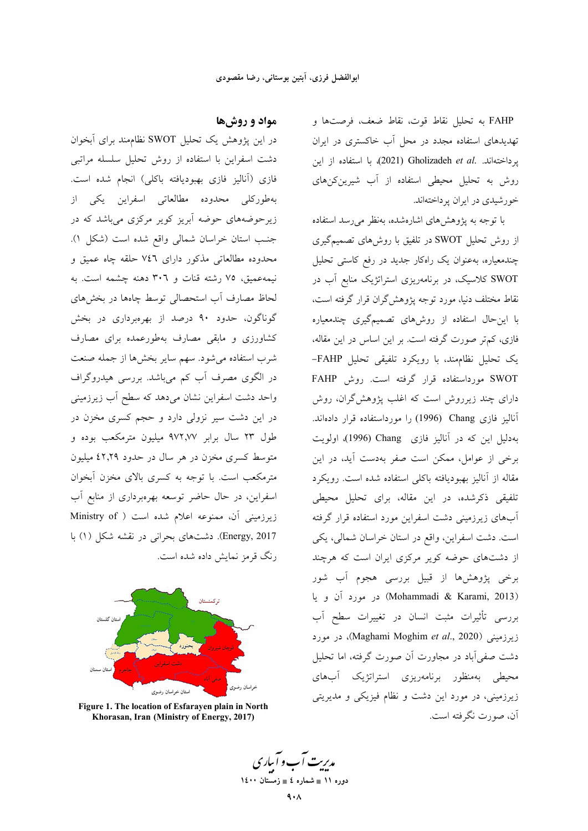FAHP به تحليل نقاط قوت، نقاط ضعف، فرصتها و تهدیدهای استفاده مجدد در محل آب خاکستری در ایران يرداختهاند. .Gholizadeh et al (2021) با استفاده از اين روش به تحلیل محیطی استفاده از آب شیرینکنهای خور شیدی در ایران پر داختهاند.

با توجه به پژوهشهای اشارهشده، بهنظر می رسد استفاده از روش تحلیل SWOT در تلفیق با روشهای تصمیمگیری چندمعیاره، بهعنوان یک راهکار جدید در رفع کاستی تحلیل SWOT کلاسیک، در برنامهریزی استراتژیک منابع آب در نقاط مختلف دنیا، مورد توجه پژوهش\$ران قرار گرفته است، .<br>با این حال استفاده از روشهای تصمیمگیری چندمعیاره فازی، کم تر صورت گرفته است. بر این اساس در این مقاله، یک تحلیل نظام مند، با رویکرد تلفیقی تحلیل FAHP-SWOT مورداستفاده قرار گرفته است. روش FAHP دارای چند زیرروش است که اغلب پژوهشگران، روش آنالیز فازی Chang (1996) را مورداستفاده قرار دادهاند. بهدلیل این که در آنالیز فازی Chang (1996)، اولویت برخی از عوامل، ممکن است صفر بهدست آید، در این مقاله از آنالیز بهبودیافته باکلی استفاده شده است. رویکرد تلفیقی ذکرشده، در این مقاله، برای تحلیل محیطی آبهای زیرزمینی دشت اسفراین مورد استفاده قرار گرفته است. دشت اسفراین، واقع در استان خراسان شمالی، یکی از دشتهای حوضه کویر مرکزی ایران است که هرچند برخی پژوهشها از قبیل بررسی هجوم آب شور (Mohammadi & Karami, 2013) در مورد آن و يا بررسی تأثیرات مثبت انسان در تغییرات سطح آب زيرزميني (Maghami Moghim et al., 2020)، در مورد دشت صفی آباد در مجاورت آن صورت گرفته، اما تحلیل محیطی بهمنظور برنامهریزی استراتژیک آبهای زیرزمینی، در مورد این دشت و نظام فیزیکی و مدیریتی آن، صورت نگرفته است.

## مواد و روشها

در این پژوهش یک تحلیل SWOT نظام مند برای آبخوان دشت اسفراین با استفاده از روش تحلیل سلسله مراتبی فازی (آنالیز فازی بهبودیافته باکلی) انجام شده است. بهطوركلي محدوده مطالعاتي اسفراين يكي از زیرحوضههای حوضه آبریز کویر مرکزی میباشد که در جنب استان خراسان شمالي واقع شده است (شكل ١). محدوده مطالعاتی مذکور دارای ۷٤٦ حلقه چاه عمیق و نيمه عميق، ٧٥ رشته قنات و ٣٠٦ دهنه چشمه است. به لحاظ مصارف آب استحصالی توسط چاهها در بخشهای گوناگون، حدود ۹۰ درصد از بهرهبرداری در بخش کشاورزی و مابقی مصارف بهطورعمده برای مصارف شرب استفاده می شود. سهم سایر بخشها از جمله صنعت در الگوی مصرف آب کم میباشد. بررسی هیدروگراف واحد دشت اسفراین نشان میدهد که سطح آب زیرزمینی در این دشت سیر نزولی دارد و حجم کسری مخزن در طول ۲۳ سال برابر ۹۷۲٫۷۷ میلیون مترمکعب بوده و متوسط کسری مخزن در هر سال در حدود ۶۲٫۲۹ میلیون مترمکعب است. با توجه به کسری بالای مخزن آبخوان اسفراین، در حال حاضر توسعه بهرهبرداری از منابع آب زیرزمینی آن، ممنوعه اعلام شده است ( Ministry of Energy, 2017). دشتهای بحرانی در نقشه شکل (۱) با رنگ قرمز نمایش داده شده است.



Figure 1. The location of Esfarayen plain in North Khorasan, Iran (Ministry of Energy, 2017)

مدیریت آب و آباری دوره ١١ = شماره ٤ = زمستان ١٤٠٠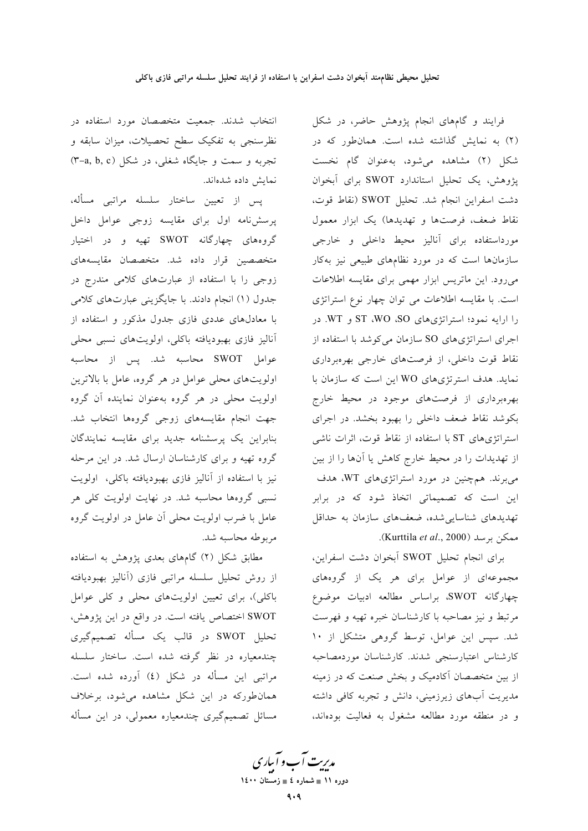انتخاب شدند. جمعیت متخصصان مورد استفاده در نظرسنجی به تفکیک سطح تحصیلات، میزان سابقه و تجربه و سمت و جایگاه شغلی، در شکل (۳-a, b, c) نمايش داده شدهاند.

یس از تعیین ساختار سلسله مراتبی مسأله، پرسش نامه اول برای مقایسه زوجی عوامل داخل گروههای چهارگانه SWOT تهیه و در اختیار متخصصین قرار داده شد. متخصصان مقایسههای زوجی را با استفاده از عبارتهای کلامی مندرج در جدول (۱) انجام دادند. با جایگزینی عبارتهای کلامی با معادلهای عددی فازی جدول مذکور و استفاده از آناليز فازي بهبوديافته باكلي، اولويتهاي نسبى محلي عوامل SWOT محاسبه شد. پس از محاسبه اولویتهای محلی عوامل در هر گروه، عامل با بالاترین اولویت محلی در هر گروه بهعنوان نماینده آن گروه جهت انجام مقايسههاى زوجى گروهها انتخاب شد. بنابراین یک پرسشنامه جدید برای مقایسه نمایندگان گروه تهیه و برای کارشناسان ارسال شد. در این مرحله نیز با استفاده از آنالیز فازی بهبودیافته باکلی، اولویت نسبی گروهها محاسبه شد. در نهایت اولویت کلی هر عامل با ضرب اولویت محلی آن عامل در اولویت گروه مربوطه محاسبه شد.

مطابق شکل (۲) گامهای بعدی پژوهش به استفاده از روش تحلیل سلسله مراتبی فازی (آنالیز بهبودیافته باکلی)، برای تعیین اولویتهای محلی و کلی عوامل SWOT اختصاص یافته است. در واقع در این پژوهش، تحلیل SWOT در قالب یک مسأله تصمیمگیری چندمعیاره در نظر گرفته شده است. ساختار سلسله مراتبی این مسأله در شکل (٤) آورده شده است. همان طورکه در این شکل مشاهده می شود، برخلاف مسائل تصمیمگیری چندمعیاره معمولی، در این مسأله

فرایند و گامهای انجام پژوهش حاضر، در شکل (٢) به نمایش گذاشته شده است. همان طور که در شکل (۲) مشاهده میشود، بهعنوان گام نخست پژوهش، یک تحلیل استاندارد SWOT برای آبخوان دشت اسفراين انجام شد. تحليل SWOT (نقاط قوت، نقاط ضعف، فرصتها و تهدیدها) یک ابزار معمول مورداستفاده براى أناليز محيط داخلي وخارجى سازمانها است که در مورد نظامهای طبیعی نیز بهکار میرود. این ماتریس ابزار مهمی برای مقایسه اطلاعات است. با مقایسه اطلاعات می توان چهار نوع استراتژی را ارایه نمود؛ استراتژیهای ST ،WO ،SO و WT. در اجرای استراتژیهای SO سازمان می کوشد با استفاده از نقاط قوت داخلی، از فرصتهای خارجی بهرهبرداری نماید. هدف استرتژیهای WO این است که سازمان با بهرهبرداری از فرصتهای موجود در محیط خارج بکوشد نقاط ضعف داخلی را بهبود بخشد. در اجرای استراتژیهای ST با استفاده از نقاط قوت، اثرات ناشی از تهدیدات را در محیط خارج کاهش یا آنها را از بین می برند. هم چنین در مورد استراتژی های WT، هدف این است که تصمیماتی اتخاذ شود که در برابر تهدیدهای شناسایی شده، ضعفهای سازمان به حداقل ممكن برسد (Kurttila et al., 2000).

براي انجام تحليل SWOT آبخوان دشت اسفراين، مجموعهای از عوامل برای هر یک از گروههای چهارگانه SWOT، براساس مطالعه ادبیات موضوع مرتبط و نیز مصاحبه با کارشناسان خبره تهیه و فهرست شد. سپس این عوامل، توسط گروهی متشکل از ۱۰ كارشناس اعتبارسنجى شدند. كارشناسان موردمصاحبه از بین متخصصان آکادمیک و بخش صنعت که در زمینه مدیریت اَبهای زیرزمینی، دانش و تجربه کافی داشته و در منطقه مورد مطالعه مشغول به فعالیت بودهاند،

مدبریت آب و آبیاری دوره ۱۱ ∎ شماره ٤ ∎ زمستان ۱٤۰۰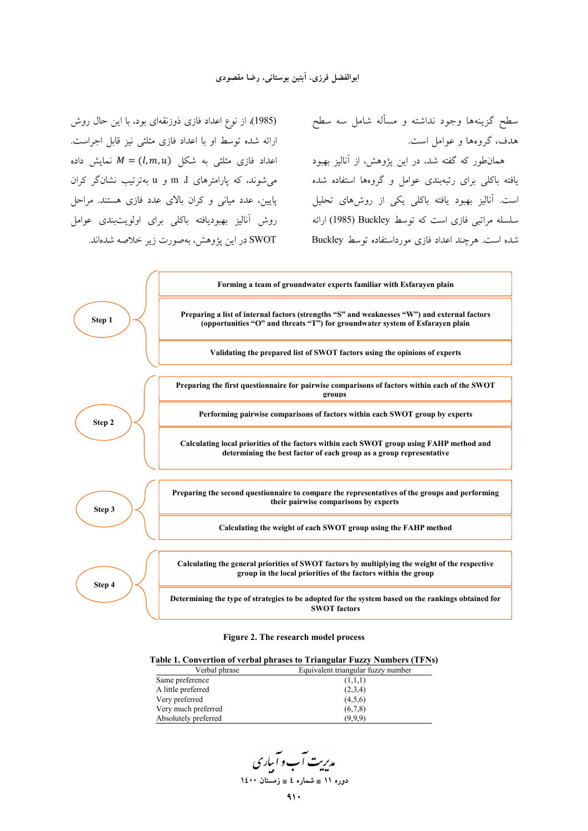همان $d$ ور که گفته شد، در این پژوهش، از آنالیز بهبود  $t \in M = (l,m,u)$  به شکل  $M = (l,m,u)$  نمایش داده (1985)، از نوع اعداد فازی ذوزنقهای بود، با این حال روش ارائه شده توسط او با اعداد فازی مثلثی نیز قابل اجراست. پایین، عدد میانی و کران بالای عدد فازی هستند. مراحل روش آنالیز بهبودیافته باکلی برای اولویتبندی عوامل SWOT در این پژوهش، بهصورت زیر خلاصه شدهاند.

سطح گزینهها وجود نداشته و مسأله شامل سه سطح هدف، گروهها و عوامل است.

یافته باکلی برای رتبهبندی عوامل و گروهها استفاده شده میشوند، که پارامترهای m ،l و u بهترتیب نشانگر کران ست. آنالیز بهبود یافته باکلی یکی از روشهای تحلیل .<br>سلسله مراتبی فازی است که توسط Buckley (1985) ارائه شده است. هرچند اعداد فازی مورداستفاده توسط Buckley



#### **Figure 2. The research model process**

#### **Table 1. Convertion of verbal phrases to Triangular Fuzzy Numbers (TFNs)**

| Verbal phrase        | Equivalent triangular fuzzy number |
|----------------------|------------------------------------|
| Same preference      | (1,1,1)                            |
| A little preferred   | (2,3,4)                            |
| Very preferred       | (4,5,6)                            |
| Very much preferred  | (6,7,8)                            |
| Absolutely preferred | (9,9,9)                            |

مدیریت آب و آباری **11 × 11 می** شماره ٤ ∎ زمستان ۱٤۰۰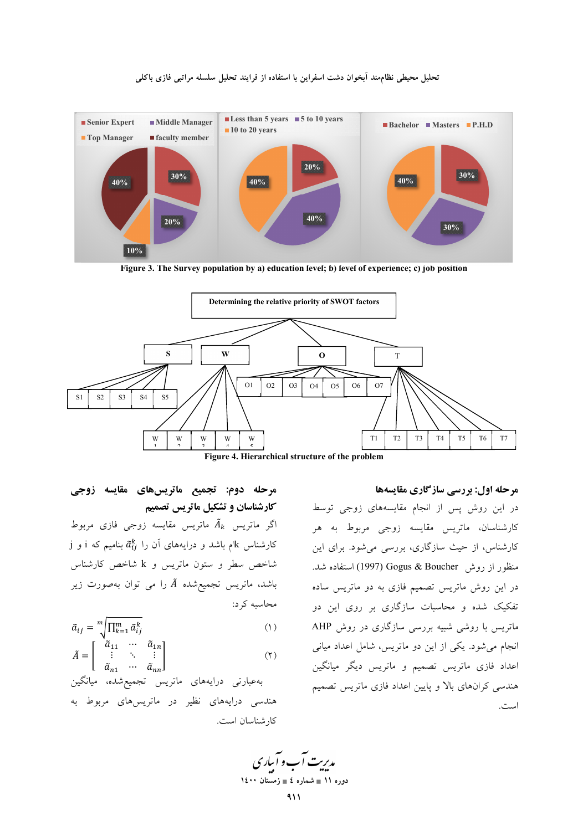

تحلیل محیطی نظاممند اَبخوان دشت اسفراین با استفاده از فرایند تحلیل سلسله مراتبی فازی باکلی

Figure 3. The Survey population by a) education level; b) level of experience; c) job position



Figure 4. Hierarchical structure of the problem

## مرحله دوم: تجميع ماتريسهاى مقايسه زوجى کارشناسان و تشکیل ماتریس تصمیم

اگر ماتریس  $\tilde{A}_k$  ماتریس مقایسه زوجی فازی مربوط  $\,$ i کارشناس کاام باشد و درایههای آن را  $\,\tilde{a}^k_{ij}$  بنامیم که i و j شاخص سطر و ستون ماتریس و k شاخص کارشناس باشد، ماتریس تجمیعشده Ã را می توان بهصورت زیر محاسبه کر د:

$$
\tilde{a}_{ij} = \sqrt[m]{\prod_{k=1}^{m} \tilde{a}_{ij}^k}
$$
 (1)

$$
\tilde{A} = \begin{bmatrix} \tilde{a}_{11} & \cdots & \tilde{a}_{1n} \\ \vdots & \ddots & \vdots \\ \tilde{a}_{n1} & \cdots & \tilde{a}_{nn} \end{bmatrix}
$$
 (7)

بەعبارتى درايەھاي ماتريس تجميع شده، ميانگين هندسی درایههای نظیر در ماتریس های مربوط به کار شناسان است.

مرحله اول: بررسی سازگاری مقایسهها در این روش پس از انجام مقایسههای زوجی توسط کارشناسان، ماتریس مقایسه زوجی مربوط به هر کارشناس، از حیث سازگاری، بررسی می شود. برای این منظور از روش Gogus & Boucher (1997) استفاده شد. در این روش ماتریس تصمیم فازی به دو ماتریس ساده تفکیک شده و محاسبات سازگاری بر روی این دو ماتریس با روشی شبیه بررسی سازگاری در روش AHP انجام می شود. یکی از این دو ماتریس، شامل اعداد میانی .<br>اعداد فازی ماتریس تصمیم و ماتریس دیگر میانگین هندسی کرانهای بالا و پایین اعداد فازی ماتریس تصمیم است.

مدریت آب و آباری دوره ۱۱ ∎ شماره ٤ ∎ زمستان ۱٤۰۰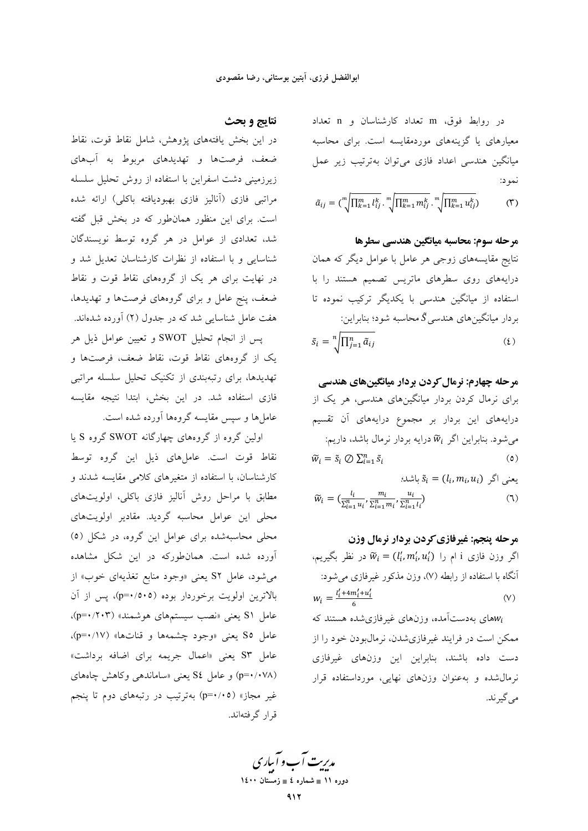در روابط فوق، m تعداد كارشناسان و n تعداد معیارهای یا گزینههای موردمقایسه است. برای محاسبه میانگین هندسی اعداد فازی می توان بهترتیب زیر عمل نمود:

$$
\tilde{a}_{ij} = {\binom{m}{\sqrt{\prod_{k=1}^{m}l_{ij}^k}} \cdot \sqrt[m]{\prod_{k=1}^{m}m_{ij}^k}} \cdot \sqrt[m]{\prod_{k=1}^{m}u_{ij}^k}
$$
 (7)

مرحله سوم: محاسبه ميانگين هندسي سطرها نتایج مقایسههای زوجی هر عامل با عوامل دیگر که همان درایههای روی سطرهای ماتریس تصمیم هستند را با استفاده از میانگین هندسی با یکدیگر ترکیب نموده تا بر دار میانگینهای هندسی  $\tilde{S}$  محاسبه شود؛ بنابراین:  $\tilde{s}_i = \sqrt[n]{\prod_{i=1}^n \tilde{a}_{ij}}$  $(5)$ 

**مرحله چهارم: نرمال کردن بردار میانگینهای هندسی**  
برای نرمال کردن بردار میانگینهای هندسی، هر یک از  
درایههای این بردار بر مجموع درایههای آن تقسیم  
میشود. بنابراین اگر *i*W۵ درایه بردار نرمال باشد، داریم:  

$$
\widetilde{w}_i = \widetilde{s}_i \oslash \sum_{i=1}^n \widetilde{s}_i
$$
 (ه)

$$
\tilde{w}_i = (l_i, m_i, u_i) \text{ s.t. } \tilde{s}_i = (l_i, m_i, u_i) \text{ s.t. } \tilde{w}_i = (\frac{l_i}{\sum_{l=1}^n u_i}, \frac{m_i}{\sum_{l=1}^n m_l}, \frac{u_i}{\sum_{l=1}^n l_l})
$$

مرحله پنجم: غیرفازی کردن بردار نرمال وزن اگر وزن فازی i ام را  $\widetilde{w}_i = (l'_i, m'_i, u'_i)$  در نظر بگیریم، آنگاه با استفاده از رابطه (۷)، وزن مذکور غیرفازی می شود:  $W_i = \frac{l'_i + 4m'_i + u'_i}{l'}$  $(V)$ 

های بهدستآمده، وزنهای غیرفازیشده هستند که $w_i$ ممکن است در فرایند غیرفازیشدن، نرمال بودن خود را از دست داده باشند، بنابراین این وزنهای غیرفازی نرمال شده و به عنوان وزنهای نهایی، مورداستفاده قرار می گیر ند.

### نتايج و بحث

در این بخش یافتههای پژوهش، شامل نقاط قوت، نقاط ضعف، فرصتها و تهدیدهای مربوط به آبهای زیرزمینی دشت اسفراین با استفاده از روش تحلیل سلسله مراتبی فازی (آنالیز فازی بهبودیافته باکلی) ارائه شده است. برای این منظور همانطور که در بخش قبل گفته شد، تعدادی از عوامل در هر گروه توسط نویسندگان شناسایی و با استفاده از نظرات کارشناسان تعدیل شد و در نهایت برای هر یک از گروههای نقاط قوت و نقاط ضعف، پنج عامل و برای گروههای فرصتها و تهدیدها، هفت عامل شناسایی شد که در جدول (۲) آورده شدهاند.

پس از انجام تحلیل SWOT و تعیین عوامل ذیل هر یک از گروههای نقاط قوت، نقاط ضعف، فرصتها و تهدیدها، برای رتبهبندی از تکنیک تحلیل سلسله مراتبی فازی استفاده شد. در این بخش، ابتدا نتیجه مقایسه عاملها و سپس مقایسه گروهها آورده شده است.

اولین گروه از گروههای چهارگانه SWOT گروه S یا نقاط قوت است. عاملهای ذیل این گروه توسط کارشناسان، با استفاده از متغیرهای کلامی مقایسه شدند و مطابق با مراحل روش آنالیز فازی باکلی، اولویتهای .<br>محلی این عوامل محاسبه گردید. مقادیر اولویتهای محلی محاسبهشده برای عوامل این گروه، در شکل (٥) آورده شده است. همانطورکه در این شکل مشاهده می شود، عامل S۲ یعنی «وجود منابع تغذیهای خوب» از بالاترین اولویت برخوردار بوده (p=۰/٥٠٥)، پس از آن عامل S۱ یعنی «نصب سیستمهای هوشمند» (۲۰۳/۰۳)، عامل S۵ یعنی «وجود چشمهها و قناتها» (p=۰/۱۷)، عامل S۳ یعنی «اعمال جریمه برای اضافه برداشت» (p=•/•۷۸) و عامل S٤ یعنی «ساماندهی وکاهش چاههای غیر مجاز» (p=٠/٠٥) بهترتیب در رتبههای دوم تا پنجم قرار گرفتهاند.

مد*ریت آ*ب و آبیاری دوره ۱۱ ∎ شماره ٤ ∎ زمستان ۱٤۰۰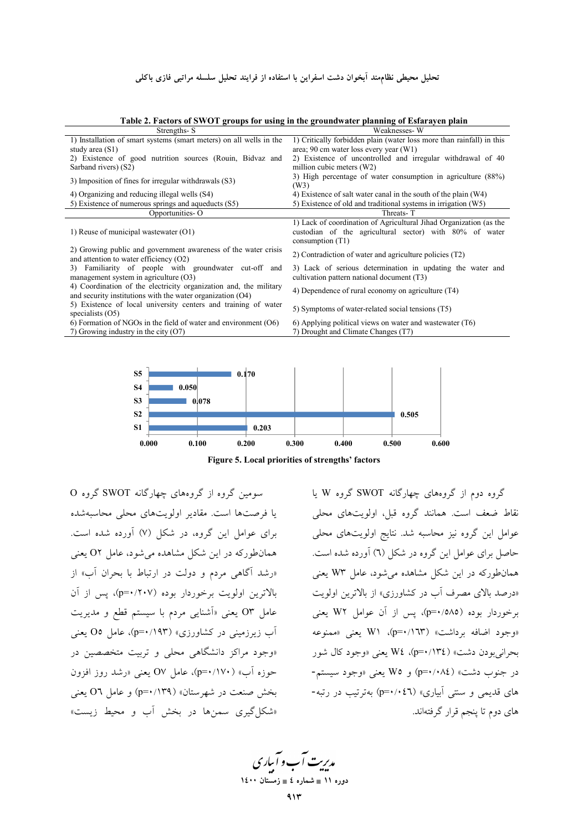| Strengths-S                                                                                                                     | $\cdots$ and $\cdots$ and $\cdots$ and $\cdots$ are $\cdots$ and $\cdots$ are $\cdots$ and $\cdots$ and $\cdots$ and $\cdots$ and $\cdots$<br>Weaknesses-W |
|---------------------------------------------------------------------------------------------------------------------------------|------------------------------------------------------------------------------------------------------------------------------------------------------------|
| 1) Installation of smart systems (smart meters) on all wells in the<br>study area (S1)                                          | 1) Critically forbidden plain (water loss more than rainfall) in this<br>area; 90 cm water loss every year (W1)                                            |
| 2) Existence of good nutrition sources (Rouin, Bidvaz and<br>Sarband rivers) (S2)                                               | 2) Existence of uncontrolled and irregular withdrawal of 40<br>million cubic meters (W2)                                                                   |
| 3) Imposition of fines for irregular withdrawals (S3)                                                                           | 3) High percentage of water consumption in agriculture (88%)<br>(W3)                                                                                       |
| 4) Organizing and reducing illegal wells (S4)                                                                                   | 4) Existence of salt water canal in the south of the plain (W4)                                                                                            |
| 5) Existence of numerous springs and aqueducts (S5)                                                                             | 5) Existence of old and traditional systems in irrigation (W5)                                                                                             |
| Opportunities-O                                                                                                                 | Threats-T                                                                                                                                                  |
| 1) Reuse of municipal wastewater (O1)                                                                                           | 1) Lack of coordination of Agricultural Jihad Organization (as the<br>custodian of the agricultural sector) with 80% of water<br>consumption $(T1)$        |
| 2) Growing public and government awareness of the water crisis<br>and attention to water efficiency $(O2)$                      | 2) Contradiction of water and agriculture policies (T2)                                                                                                    |
| 3) Familiarity of people with groundwater cut-off and<br>management system in agriculture $(O3)$                                | 3) Lack of serious determination in updating the water and<br>cultivation pattern national document (T3)                                                   |
| 4) Coordination of the electricity organization and, the military<br>and security institutions with the water organization (O4) | 4) Dependence of rural economy on agriculture (T4)                                                                                                         |
| 5) Existence of local university centers and training of water<br>specialists $(O5)$                                            | 5) Symptoms of water-related social tensions (T5)                                                                                                          |
| $(6)$ Formation of NGOs in the field of water and environment $(06)$<br>7) Growing industry in the city $(O7)$                  | $(6)$ Applying political views on water and wastewater $(T6)$<br>7) Drought and Climate Changes (T7)                                                       |

**Table 2. Factors of SWOT groups for using in the groundwater planning of Esfarayen plain** 



**Figure 5. Local priorities of strengths' factors**

سومین گروه از گروههای چهارگانه SWOT گروه O یا فرصتها است. مقادیر اولویتهای محلی محاسبهشده برای عوامل این گروه، در شکل (۷) آورده شده است. همانطورکه در این شکل مشاهده میشود، عامل O۲ یعنی «رشد آگاهی مردم و دولت در ارتباط با بحران آب» از بالاترین اولویت برخوردار بوده (۲۰۷/۰۰=p)، پس از آن عامل °O یعنی «أشنایی مردم با سیستم قطع و مدیریت أب زیرزمینی در کشاورزی» (p=۰/۱۹۳). عامل O۵ یعنی «وجود مراکز دانشگاهی محلی و تربیت متخصصین در حوزه أب» (۱۷۰٪+p=۰)، عامل O۷ یعنی «رشد روز افزون بخش صنعت در شهرستان» (p=۰/۱۳۹) و عامل O٦ يعني «شکل گیری سمنها در بخش آب و محیط زیست»

گروه دوم از گروههای چهارگانه SWOT گروه W یا نقاط ضعف است. همانند گروه قبل، اولویتهای محلی عوامل این گروه نیز محاسبه شد. نتایج اولویتهای محلی حاصل برای عوامل این گروه در شکل (٦) أورده شده است. همانطورکه در این شکل مشاهده میشود، عامل W۳ یعنی «درصد بالای مصرف أب در کشاورزی» از بالاترین اولویت برخوردار بوده (۵۸۵/۰=p)، پس از آن عوامل W۲ یعنی «وجود اضافه برداشت» (p=۰/۱٦۳). W۱ یعنی «ممنوعه حرانیبودن دشت» (١٣٤٪+p=٠)، W٤ يعني «وجود كال شور در جنوب دشت» (p=•/•۸٤) و W۵ یعنی «وجود سیستم-های قدیمی و سنتی آبیاری» (p=۰/۰٤٦) بهترتیب در رتبه-های دوم تا پنجم قرار گرفتهاند.

مدیریت آب و آساری **11 × 11 می** شماره ٤ ∎ زمستان ۱٤۰۰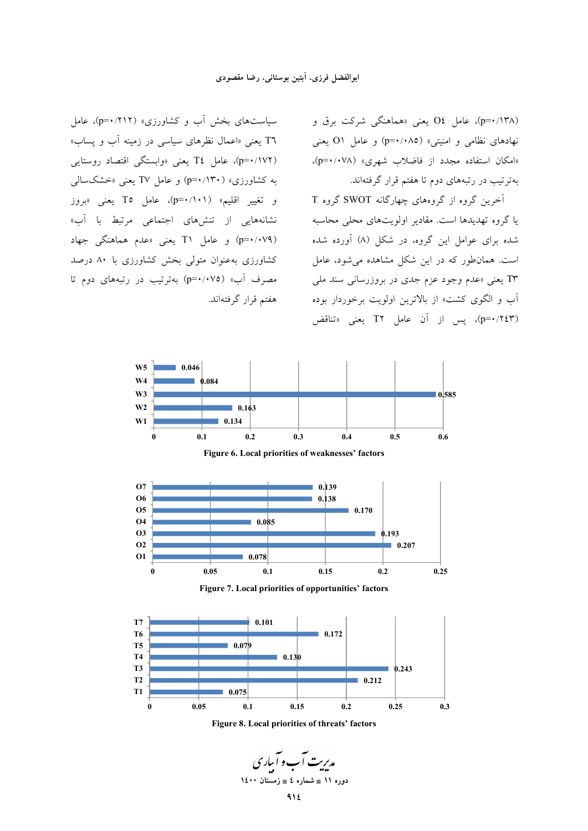سیاستهای بخش آب و کشاورزی» (۲۱۲/۰=p)، عامل T٦ یعنی «اعمال نظرهای سیاسی در زمینه آب و پساب» (p=•/۱۷۲)، عامل T٤ یعنی «وابستگی اقتصاد روستایی به کشاورزی» (۱۳۰/•=p) و عامل TV یعنی «خشکسالی و تغییر اقلیم» (p=•/۱۰۱)، عامل To یعنی «بروز نشانههایی از تنشهای اجتماعی مرتبط با آب» (p=•/•۷۹) و عامل T۱ یعنی «عدم هماهنگی جهاد کشاورزی به عنوان متولی بخش کشاورزی با ۸۰ درصد مصرف آب» (p=٠/٠٧٥) بهترتیب در رتبههای دوم تا هفتم قرار گرفتهاند. (p=•/۱۳۸). عامل OŁ یعنی «هماهنگی شرکت برق و نهادهای نظامی و امنیتی» (p=•/•۸۵) و عامل O۱ یعنی «امکان استفاده مجدد از فاضلاب شهری» (p=۰/۰۷۸). بهترتیب در رتبههای دوم تا هفتم قرار گرفتهاند.

آخرین گروه از گروههای چهارگانه SWOT گروه T یا گروه تهدیدها است. مقادیر اولویتهای محلی محاسبه شده برای عوامل این گروه، در شکل (۸) آورده شده ست. همانطور که در این شکل مشاهده میشود، عامل T۳ یعنی «عدم وجود عزم جدی در بروزرسانی سند ملی ُب و الگوی کشت» از بالاترین اولویت برخوردار بوده (p=•/۲٤٣)، پس از آن عامل T۲ یعنی «تناقض







مد*ریت آ*ب و آساری **11 × 11 می** شماره ٤ ∎ زمستان ۱٤۰۰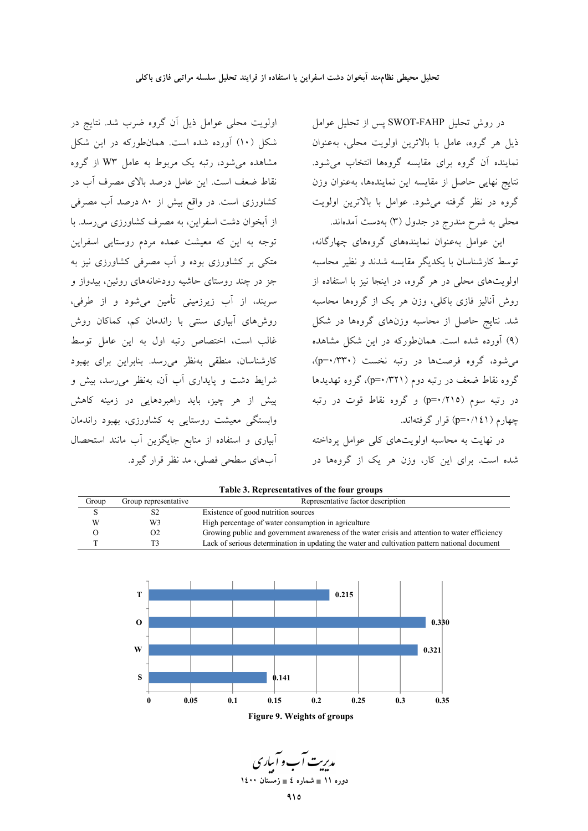اولویت محلی عوامل ذیل آن گروه ضرب شد. نتایج در شکل (۱۰) آورده شده است. همانطورکه در این شکل

مشاهده می شود، رتبه یک مربوط به عامل W۳ از گروه

نقاط ضعف است. این عامل درصد بالای مصرف آب در

کشاورزی است. در واقع بیش از ۸۰ درصد آب مصرفی

از آبخوان دشت اسفراین، به مصرف کشاورزی می رسد. با

توجه به این که معیشت عمده مردم روستایی اسفراین

متکی بر کشاورزی بوده و آب مصرفی کشاورزی نیز به

جز در چند روستای حاشیه رودخانههای روئین، بیدواز و

سربند، از آب زیرزمینی تأمین میشود و از طرفی، روشهای آبیاری سنتی با راندمان کم، کماکان روش

.<br>غالب است، اختصاص رتبه اول به این عامل توسط

كارشناسان، منطقى بەنظر مى رسد. بنابراين براي بهبود

شرایط دشت و پایداری آب آن، بهنظر می رسد، بیش و

پیش از هر چیز، باید راهبردهایی در زمینه کاهش

وابستگی معیشت روستایی به کشاورزی، بهبود راندمان

ابیاری و استفاده از منابع جایگزین آب مانند استحصال

آبهای سطحی فصلی، مد نظر قرار گیرد.

در روش تحليل SWOT-FAHP پس از تحليل عوامل ذيل هر گروه، عامل با بالاترين اولويت محلي، بهعنوان نماینده آن گروه برای مقایسه گروهها انتخاب میشود. نتايج نهايى حاصل از مقايسه اين نمايندهها، بهعنوان وزن گروه در نظر گرفته میشود. عوامل با بالاترین اولویت محلی به شرح مندرج در جدول (۳) بهدست آمدهاند.

این عوامل بهعنوان نمایندههای گروههای چهارگانه، توسط كارشناسان با يكديگر مقايسه شدند و نظير محاسبه اولویتهای محلی در هر گروه، در اینجا نیز با استفاده از روش آنالیز فازی باکلی، وزن هر یک از گروهها محاسبه شد. نتایج حاصل از محاسبه وزنهای گروهها در شکل (۹) آورده شده است. همانطورکه در این شکل مشاهده می شود، گروه فرصتها در رتبه نخست (۳۳۰/۰۰=p)، گروه نقاط ضعف در رتبه دوم (۳۲۱/۰=p)، گروه تهدیدها در رتبه سوم (۳۱۵/۰=p) و گروه نقاط قوت در رتبه چهارم ( p=۰/۱٤۱) قرار گرفتهاند.

در نهایت به محاسبه اولویتهای کلی عوامل پرداخته شده است. برای این کار، وزن هر یک از گروهها در

| Table 3. Representatives of the four groups |                      |                                                                                               |
|---------------------------------------------|----------------------|-----------------------------------------------------------------------------------------------|
| Group                                       | Group representative | Representative factor description                                                             |
|                                             |                      | Existence of good nutrition sources                                                           |
| W                                           | W3                   | High percentage of water consumption in agriculture                                           |
|                                             | O <sub>2</sub>       | Growing public and government awareness of the water crisis and attention to water efficiency |
|                                             |                      | Lack of serious determination in updating the water and cultivation pattern national document |



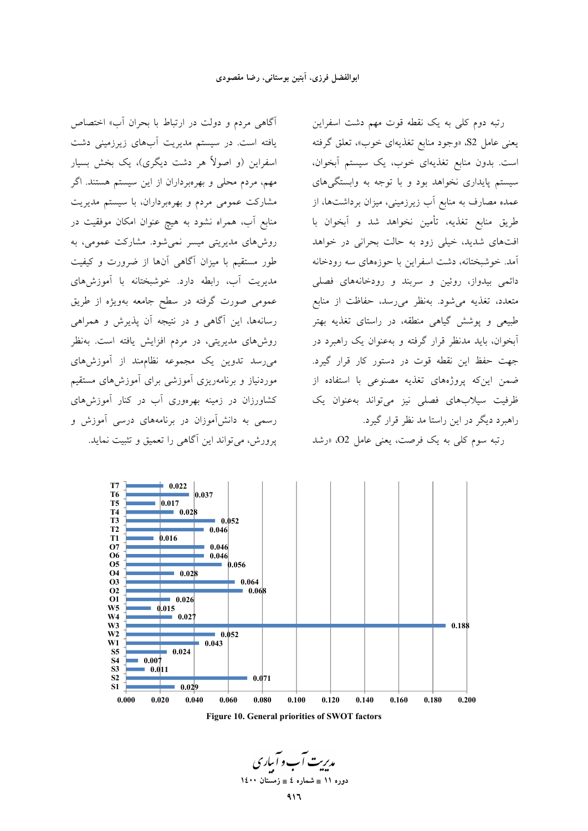آگاهی مردم و دولت در ارتباط با بحران آب» اختصاص یافته است. در سیستم مدیریت آبهای زیرزمینی دشت اسفراین (و اصولاً هر دشت دیگری)، یک بخش بسیار مهم، مردم محلی و بهرهبرداران از این سیستم هستند. اگر مشارکت عمومی مردم و بهرهبرداران، با سیستم مدیریت منابع آب، همراه نشود به هیچ عنوان امکان موفقیت در روشهای مدیریتی میسر نمیشود. مشارکت عمومی، به طور مستقیم با میزان آگاهی آنها از ضرورت و کیفیت مدیریت آب، رابطه دارد. خوشبختانه با آموزشهای عمومی صورت گرفته در سطح جامعه بهویژه از طریق رسانهها، این آگاهی و در نتیجه آن پذیرش و همراهی روش۵مای مدیریتی، در مردم افزایش یافته است. بهنظر میرسد تدوین یک مجموعه نظاممند از آموزشهای موردنیاز و برنامهریزی آموزشی برای آموزش های مستقیم کشاورزان در زمینه بهرهوری آب در کنار آموزشهای رسمی به دانش آموزان در برنامههای درسی آموزش و يرورش، مي تواند اين آگاهي را تعميق و تثبيت نمايد.

رتبه دوم کلی به یک نقطه قوت مهم دشت اسفراین يعني عامل S2، «وجود منابع تغذيهاي خوب»، تعلق گرفته است. بدون منابع تغذیهای خوب، یک سیستم آبخوان، سیستم پایداری نخواهد بود و با توجه به وابستگیهای عمده مصارف به منابع آب زیرزمینی، میزان برداشتها، از طريق منابع تغذيه، تأمين نخواهد شد و آبخوان با افتهای شدید، خیلی زود به حالت بحرانی در خواهد آمد. خوشبختانه، دشت اسفراین با حوزههای سه رودخانه دائمی بیدواز، روئین و سربند و رودخانههای فصلی متعدد، تغذیه میشود. بهنظر می رسد، حفاظت از منابع طبیعی و پوشش گیاهی منطقه، در راستای تغذیه بهتر آبخوان، باید مدنظر قرار گرفته و بهعنوان یک راهبرد در جهت حفظ این نقطه قوت در دستور کار قرار گیرد. ضمن اینکه پروژههای تغذیه مصنوعی با استفاده از ظرفیت سیلابهای فصلی نیز می تواند بهعنوان یک راهبرد دیگر در این راستا مد نظر قرار گیرد.

رتبه سوم کلی به یک فرصت، یعنی عامل O2، «رشد



Figure 10. General priorities of SWOT factors

مدیریت آب و آساری دوره ۱۱ ∎ شماره ٤ ∎ زمستان ۱٤۰۰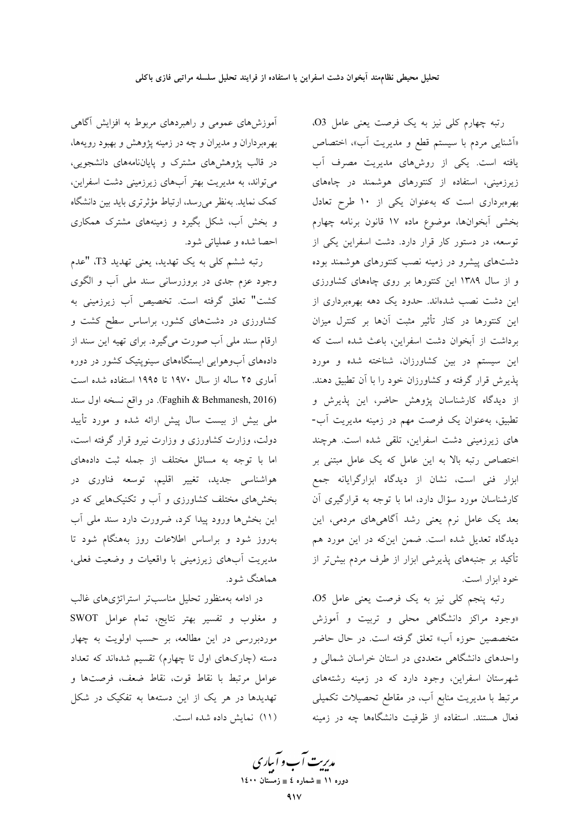آموزشهای عمومی و راهبردهای مربوط به افزایش آگاهی بهرمبرداران و مدیران و چه در زمینه پژوهش و بهبود رویهها، در قالب پژوهشهای مشترک و پایاننامههای دانشجویی، میتواند، به مدیریت بهتر آبهای زیرزمینی دشت اسفراین، کمک نماید. بهنظر می رسد، ارتباط مؤثرتری باید بین دانشگاه و بخش آب، شکل بگیرد و زمینههای مشترک همکاری احصا شده و عملیاتی شود.

رتبه ششم کل<sub>ی</sub> به یک تهدید، یعنی تهدید T3، "عدم وجود عزم جدی در بروزرسانی سند ملی آب و الگوی كشت" تعلق گرفته است. تخصيص آب زيرزميني به کشاورزی در دشتهای کشور، براساس سطح کشت و ارقام سند ملي آب صورت مي گيرد. براي تهيه اين سند از دادههای آبوهوایی ایستگاههای سینویتیک کشور در دوره آماری ۲۵ ساله از سال ۱۹۷۰ تا ۱۹۹۵ استفاده شده است (Faghih & Behmanesh, 2016). در واقع نسخه اول سند ملی بیش از بیست سال پیش ارائه شده و مورد تأیید دولت، وزارت کشاورزی و وزارت نیرو قرار گرفته است، اما با توجه به مسائل مختلف از جمله ثبت دادههای هواشناسی جدید، تغییر اقلیم، توسعه فناوری در بخشهای مختلف کشاورزی و آب و تکنیکهایی که در این بخشها ورود پیدا کرد، ضرورت دارد سند ملی آب بهروز شود و براساس اطلاعات روز بههنگام شود تا مدیریت آبهای زیرزمینی با واقعیات و وضعیت فعلی، هماهنگ شود.

در ادامه بهمنظور تحلیل مناسبتر استراتژیهای غالب و مغلوب و تفسیر بهتر نتایج، تمام عوامل SWOT موردبررسی در این مطالعه، بر حسب اولویت به چهار دسته (چارکهای اول تا چهارم) تقسیم شدهاند که تعداد عوامل مرتبط با نقاط قوت، نقاط ضعف، فرصتها و تهدیدها در هر یک از این دستهها به تفکیک در شکل (١١) نمايش داده شده است.

رتبه چهارم کلی نیز به یک فرصت یعنی عامل O3. «اَشنایی مردم با سیستم قطع و مدیریت آب»، اختصاص یافته است. یکی از روشهای مدیریت مصرف آب زیرزمینی، استفاده از کنتورهای هوشمند در چاههای بهرهبرداری است که بهعنوان یکی از ۱۰ طرح تعادل بخشى أبخوانها، موضوع ماده ١٧ قانون برنامه چهارم توسعه، در دستور کار قرار دارد. دشت اسفراین یکی از دشتهای پیشرو در زمینه نصب کنتورهای هوشمند بوده و از سال ۱۳۸۹ این کنتورها بر روی چاههای کشاورزی این دشت نصب شدهاند. حدود یک دهه بهرهبرداری از این کنتورها در کنار تأثیر مثبت آنها بر کنترل میزان برداشت از آبخوان دشت اسفراین، باعث شده است که این سیستم در بین کشاورزان، شناخته شده و مورد پذیرش قرار گرفته و کشاورزان خود را با آن تطبیق دهند. از دیدگاه کارشناسان پژوهش حاضر، این پذیرش و تطبیق، بهعنوان یک فرصت مهم در زمینه مدیریت آب-های زیرزمینی دشت اسفراین، تلقی شده است. هرچند اختصاص رتبه بالا به این عامل که یک عامل مبتنی بر ابزار فنی است، نشان از دیدگاه ابزارگرایانه جمع کارشناسان مورد سؤال دارد، اما با توجه به قرارگیری آن بعد یک عامل نرم یعنی رشد آگاهیهای مردمی، این دیدگاه تعدیل شده است. ضمن اینکه در این مورد هم تأکید بر جنبههای پذیرشی ابزار از طرف مردم بیش تر از خود ابزار است.

رتبه پنجم کلی نیز به یک فرصت یعنی عامل O5. «وجود مراکز دانشگاهی محلی و تربیت و آموزش متخصصین حوزه آب» تعلق گرفته است. در حال حاضر واحدهای دانشگاهی متعددی در استان خراسان شمالی و شهرستان اسفراین، وجود دارد که در زمینه رشتههای مرتبط با مدیریت منابع آب، در مقاطع تحصیلات تکمیلی فعال هستند. استفاده از ظرفیت دانشگاهها چه در زمینه

مد*ریت آ*ب و آبیاری دوره ۱۱ ∎ شماره ٤ ∎ زمستان ۱٤۰۰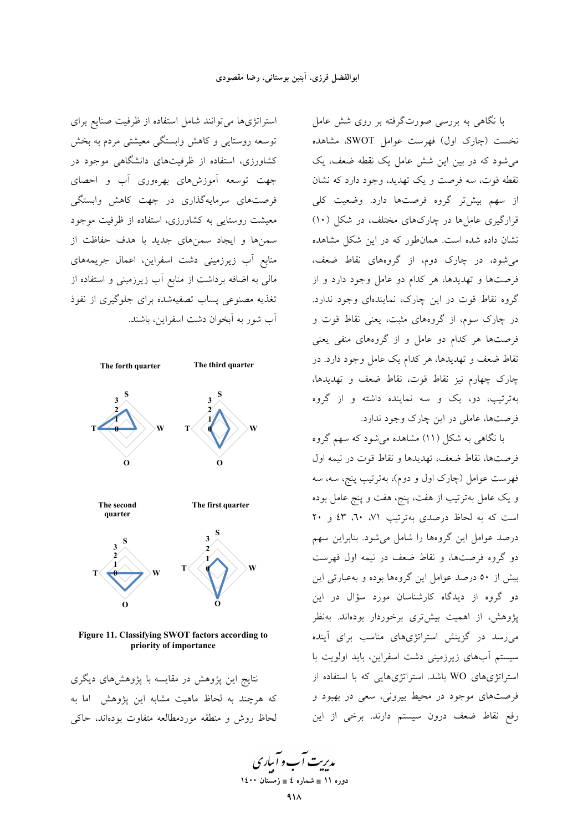استراتژیها می توانند شامل استفاده از ظرفیت صنایع برای توسعه روستایی و کاهش وابستگی معیشتی مردم به بخش کشاورزی، استفاده از ظرفیتهای دانشگاهی موجود در جهت توسعه أموزشهاى بهرهورى أب و احصاى فرصتهای سرمایهگذاری در جهت کاهش وابستگی معیشت روستایی به کشاورزی، استفاده از ظرفیت موجود سمنها و ایجاد سمنهای جدید با هدف حفاظت از منابع آب زیرزمینی دشت اسفراین، اعمال جریمههای مالی به اضافه برداشت از منابع آب زیرزمینی و استفاده از تغذیه مصنوعی پساب تصفیهشده برای جلوگیری از نفوذ آب شور به آبخوان دشت اسفراین، باشند.



Figure 11. Classifying SWOT factors according to priority of importance

نتایج این پژوهش در مقایسه با پژوهشهای دیگری که هرچند به لحاظ ماهیت مشابه این پژوهش اما به لحاظ روش و منطقه موردمطالعه متفاوت بودهاند، حاکی

با نگاهی به بررسی صورتگرفته بر روی شش عامل نخست (چارک اول) فهرست عوامل SWOT، مشاهده می شود که در بین این شش عامل یک نقطه ضعف، یک نقطه قوت، سه فرصت و یک تهدید، وجود دارد که نشان از سهم بیش تر گروه فرصتها دارد. وضعیت کلی قرارگیری عاملها در چارکهای مختلف، در شکل (۱۰) نشان داده شده است. همان طور که در این شکل مشاهده میشود، در چارک دوم، از گروههای نقاط ضعف، فرصتها و تهدیدها، هر کدام دو عامل وجود دارد و از گروه نقاط قوت در این چارک، نمایندهای وجود ندارد. در چارک سوم، از گروههای مثبت، یعنی نقاط قوت و فرصتها هر کدام دو عامل و از گروههای منفی یعنی نقاط ضعف و تهدیدها، هر کدام یک عامل وجود دارد. در چارک چهارم نیز نقاط قوت، نقاط ضعف و تهدیدها، بهترتیب، دو، یک و سه نماینده داشته و از گروه فرصتها، عاملی در این چارک وجود ندارد.

با نگاهی به شکل (۱۱) مشاهده می شود که سهم گروه فرصتها، نقاط ضعف، تهديدها و نقاط قوت در نيمه اول فهرست عوامل (چارک اول و دوم)، بهترتیب پنج، سه، سه و یک عامل بهترتیب از هفت، پنج، هفت و پنج عامل بوده است که به لحاظ درصدی بهترتیب ۰/۱ ۲۰، ٤٣ و ۲۰ درصد عوامل این گروهها را شامل می شود. بنابراین سهم دو گروه فرصتها، و نقاط ضعف در نیمه اول فهرست بیش از ٥٠ درصد عوامل این گروهها بوده و بهعبارتی این دو گروه از دیدگاه کارشناسان مورد سؤال در این پژوهش، از اهمیت بیشتری برخوردار بودهاند. بهنظر می رسد در گزینش استراتژیهای مناسب برای آینده سیستم آبهای زیرزمینی دشت اسفراین، باید اولویت با استراتژیهای WO باشد. استراتژیهایی که با استفاده از فرصتهای موجود در محیط بیرونی، سعی در بهبود و رفع نقاط ضعف درون سيستم دارند. برخي از اين

م*دینت آ*ب و آباری دوره ۱۱ ∎ شماره ٤ ∎ زمستان ۱٤۰۰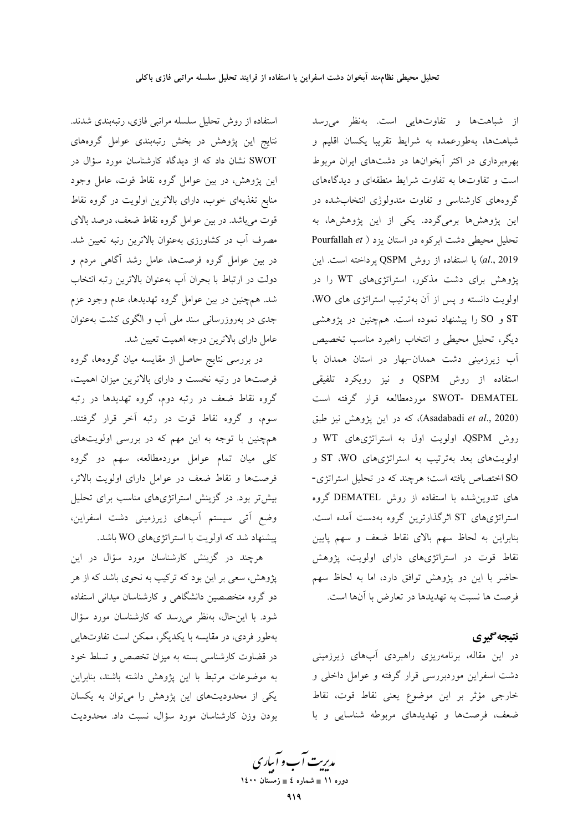از شباهتها و تفاوتهایی است. بهنظر می رسد شباهتها، بهطورعمده به شرايط تقريبا يكسان اقليم و بهرهبرداری در اکثر آبخوانها در دشتهای ایران مربوط است و تفاوتها به تفاوت شرایط منطقهای و دیدگاههای گروههای کارشناسی و تفاوت متدولوژی انتخابشده در این پژوهشها برمیگردد. یکی از این پژوهشها، به تحلیل محیطی دشت ابر کوه در استان یزد ( Pourfallah et al., 2019) با استفاده از روش QSPM پرداخته است. این پژوهش برای دشت مذکور، استراتژیهای WT را در اولویت دانسته و پس از آن بهترتیب استراتژی های WO. .<br>ST و SO را پیشنهاد نموده است. همچنین در یژوهشی ديگر، تحليل محيطي و انتخاب راهبرد مناسب تخصيص آب زیرزمینی دشت همدان-بهار در استان همدان با استفاده از روش QSPM و نيز رويكرد تلفيقي SWOT- DEMATEL موردمطالعه قرار گرفته است (Asadabadi et al., 2020)، كه در اين يژوهش نيز طبق روش QSPM، اولویت اول به استراتژیهای WT و اولویتهای بعد بهترتیب به استراتژیهای ST .WO و SO اختصاص یافته است؛ هرچند که در تحلیل استراتژی-های تدوین شده با استفاده از روش DEMATEL گروه استراتژیهای ST اثرگذارترین گروه بهدست آمده است. بنابراین به لحاظ سهم بالای نقاط ضعف و سهم پایین نقاط قوت در استراتژیهای دارای اولویت، پژوهش حاضر با این دو پژوهش توافق دارد، اما به لحاظ سهم فرصت ها نسبت به تهدیدها در تعارض با آنها است.

### نتيجه گيري

در این مقاله، برنامهریزی راهبردی آبهای زیرزمینی دشت اسفراین موردبررسی قرار گرفته و عوامل داخلی و خارجي مؤثر بر اين موضوع يعني نقاط قوت، نقاط ضعف، فرصتها وتهديدهاى مربوطه شناسايى وبا

استفاده از روش تحلیل سلسله مراتبی فازی، رتبهبندی شدند. نتایج این پژوهش در بخش رتبهبندی عوامل گروههای SWOT نشان داد که از دیدگاه کارشناسان مورد سؤال در این پژوهش، در بین عوامل گروه نقاط قوت، عامل وجود منابع تغذیهای خوب، دارای بالاترین اولویت در گروه نقاط قوت میباشد. در بین عوامل گروه نقاط ضعف، درصد بالای مصرف آب در کشاورزی بهعنوان بالاترین رتبه تعیین شد. در بین عوامل گروه فرصتها، عامل رشد آگاهی مردم و دولت در ارتباط با بحران أب بهعنوان بالاترين رتبه انتخاب شد. همچنین در بین عوامل گروه تهدیدها، عدم وجود عزم جدی در بهروزرسانی سند ملی آب و الگوی کشت بهعنوان عامل داراي بالاترين درجه اهميت تعيين شد.

در بررسی نتایج حاصل از مقایسه میان گروهها، گروه فرصتها در رتبه نخست و دارای بالاترین میزان اهمیت، گروه نقاط ضعف در رتبه دوم، گروه تهدیدها در رتبه سوم، و گروه نقاط قوت در رتبه آخر قرار گرفتند. همچنین با توجه به این مهم که در بررسی اولویتهای کلی میان تمام عوامل موردمطالعه، سهم دو گروه فرصتها و نقاط ضعف در عوامل دارای اولویت بالاتر، بیشتر بود. در گزینش استراتژیهای مناسب برای تحلیل وضع آتی سیستم آبهای زیرزمینی دشت اسفراین، پیشنهاد شد که اولویت با استراتژیهای WO باشد.

هرچند در گزینش کارشناسان مورد سؤال در این پژوهش، سعی بر این بود که ترکیب به نحوی باشد که از هر دو گروه متخصصین دانشگاهی و کارشناسان میدانی استفاده شود. با این حال، بهنظر می رسد که کارشناسان مورد سؤال بهطور فردي، در مقايسه با يكديگر، ممكن است تفاوتهايي در قضاوت کارشناسی بسته به میزان تخصص و تسلط خود به موضوعات مرتبط با این پژوهش داشته باشند، بنابراین یکی از محدودیتهای این پژوهش را میتوان به یکسان بودن وزن كارشناسان مورد سؤال، نسبت داد. محدوديت

مدبریت آب و آباری دوره ۱۱ ∎ شماره ٤ ∎ زمستان ۱٤۰۰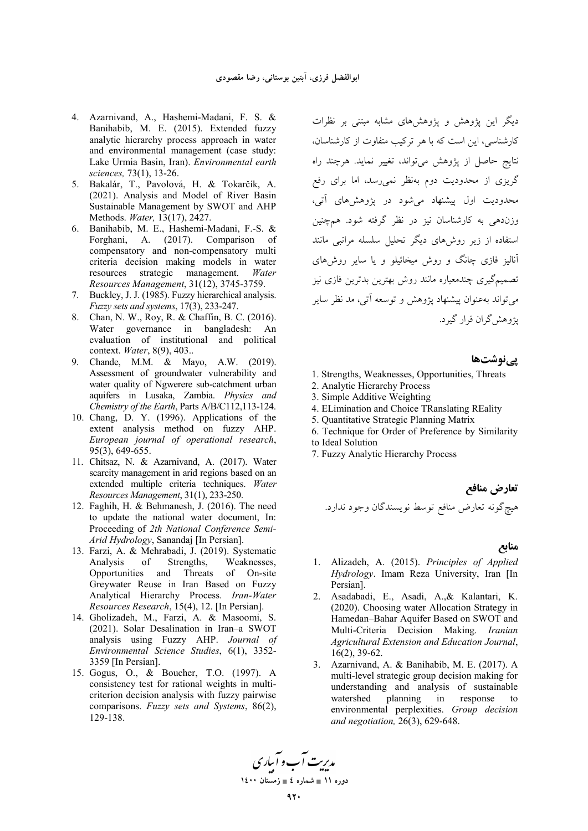- 4. Azarnivand, A., Hashemi-Madani, F. S. & Banihabib, M. E. (2015). Extended fuzzy analytic hierarchy process approach in water and environmental management (case study: Lake Urmia Basin, Iran). Environmental earth sciences, 73(1), 13-26.
- 5. Bakalár, T., Pavolová, H. & Tokarčík, A. (2021). Analysis and Model of River Basin Sustainable Management by SWOT and AHP Methods. Water, 13(17), 2427.
- 6. Banihabib, M. E., Hashemi-Madani, F.-S. & Forghani, A. (2017). Comparison of compensatory and non-compensatory multi criteria decision making models in water resources strategic management. Water Resources Management, 31(12), 3745-3759.
- 7. Buckley, J. J. (1985). Fuzzy hierarchical analysis. Fuzzy sets and systems, 17(3), 233-247.
- 8. Chan, N. W., Roy, R. & Chaffin, B. C. (2016). Water governance in bangladesh: An evaluation of institutional and political context. Water, 8(9), 403...
- 9. Chande, M.M. & Mayo, A.W. (2019). Assessment of groundwater vulnerability and water quality of Ngwerere sub-catchment urban aquifers in Lusaka, Zambia. Physics and Chemistry of the Earth, Parts A/B/C112,113-124.
- 10. Chang, D. Y. (1996). Applications of the extent analysis method on fuzzy AHP. European journal of operational research, 95(3), 649-655.
- 11. Chitsaz, N. & Azarnivand, A. (2017). Water scarcity management in arid regions based on an extended multiple criteria techniques. Water Resources Management, 31(1), 233-250.
- 12. Faghih, H. & Behmanesh, J. (2016). The need to update the national water document, In: Proceeding of 2th National Conference Semi-Arid Hydrology, Sanandaj [In Persian].
- 13. Farzi, A. & Mehrabadi, J. (2019). Systematic of Strengths, Weaknesses, Analysis Opportunities and Threats of On-site Greywater Reuse in Iran Based on Fuzzy Analytical Hierarchy Process. Iran-Water Resources Research, 15(4), 12. [In Persian].
- 14. Gholizadeh, M., Farzi, A. & Masoomi, S. (2021). Solar Desalination in Iran-a SWOT analysis using Fuzzy AHP. Journal of Environmental Science Studies, 6(1), 3352-3359 [In Persian].
- 15. Gogus, O., & Boucher, T.O. (1997). A consistency test for rational weights in multicriterion decision analysis with fuzzy pairwise comparisons. Fuzzy sets and Systems, 86(2), 129-138.

دیگر این پژوهش و پژوهش های مشابه مبتنی بر نظرات کارشناسی، این است که با هر ترکیب متفاوت از کارشناسان، .<br>نتایج حاصل از پژوهش میتواند، تغییر نماید. هرچند راه گریزی از محدودیت دوم بهنظر نمی رسد، اما برای رفع محدودیت اول پیشنهاد می شود در پژوهش های آتی، وزندهی به کارشناسان نیز در نظر گرفته شود. همچنین استفاده از زیر روش های دیگر تحلیل سلسله مراتبی مانند آنالیز فازی چانگ و روش میخائیلو و یا سایر روشهای تصمیمگیری چندمعیاره مانند روش بهترین بدترین فازی نیز مي تواند بهعنوان پيشنهاد پژوهش و توسعه آتي، مد نظر ساير ي<sup>ن</sup>وهش گران قرار گيرد.

<u>یے نوشتھا</u>

- 1. Strengths, Weaknesses, Opportunities, Threats
- 2. Analytic Hierarchy Process
- 3. Simple Additive Weighting
- 4. ELimination and Choice TRanslating REality
- 5. Quantitative Strategic Planning Matrix
- 6. Technique for Order of Preference by Similarity to Ideal Solution
- 7. Fuzzy Analytic Hierarchy Process

#### منابع

- 1. Alizadeh, A. (2015). Principles of Applied Hydrology. Imam Reza University, Iran [In Persian].
- 2. Asadabadi, E., Asadi, A., & Kalantari, K. (2020). Choosing water Allocation Strategy in Hamedan-Bahar Aquifer Based on SWOT and Multi-Criteria Decision Making. Iranian Agricultural Extension and Education Journal,  $16(2)$ , 39-62.
- 3. Azarnivand, A. & Banihabib, M. E. (2017). A multi-level strategic group decision making for understanding and analysis of sustainable planning watershed  $in$ response  $\mathbf{t}$ environmental perplexities. Group decision and negotiation, 26(3), 629-648.

مدریت آب و آباری دوره ۱۱ ∎ شماره ٤ ∎ زمستان ۱٤۰۰